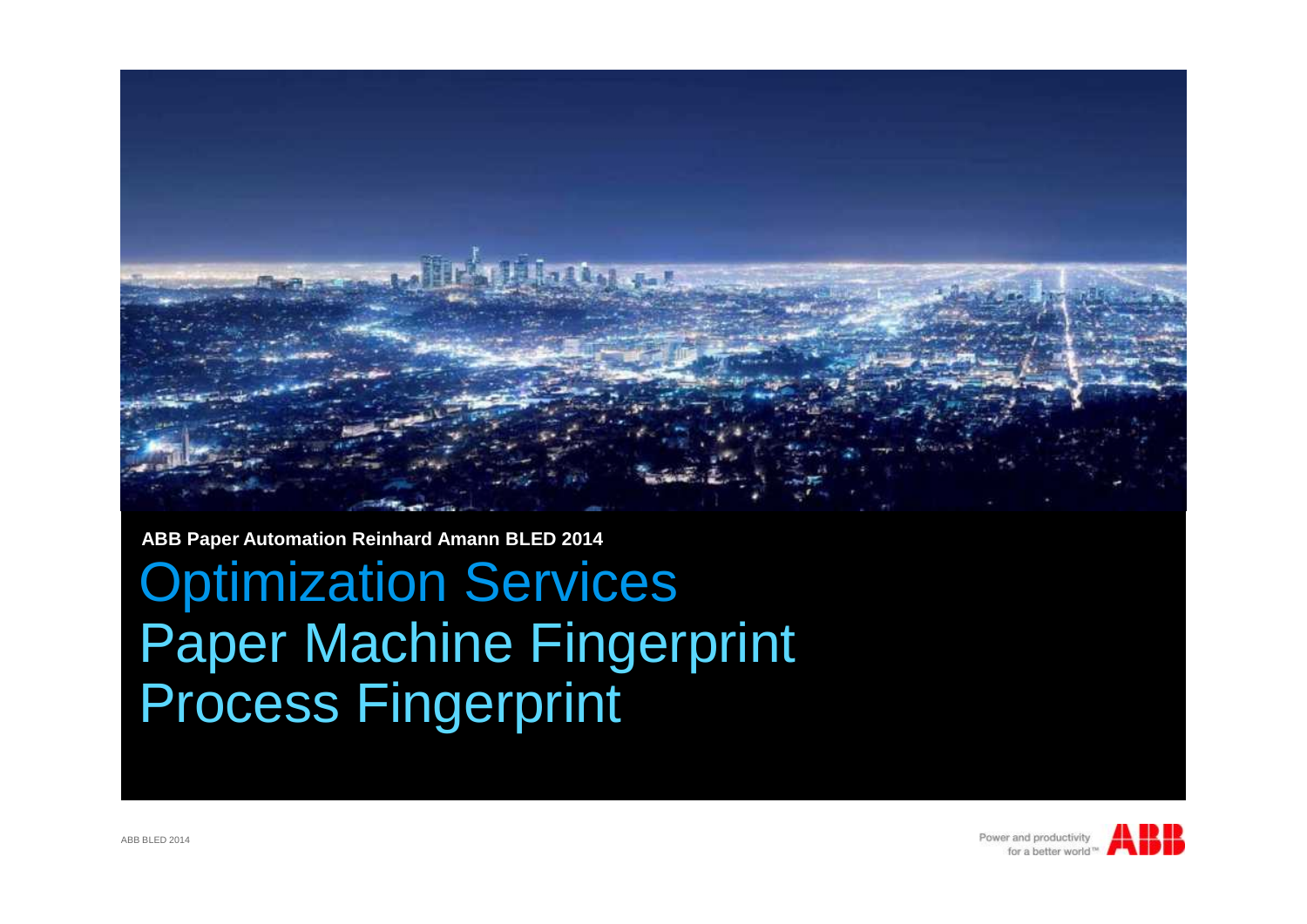

**ABB Paper Automation Reinhard Amann BLED 2014**

Optimization Services Paper Machine Fingerprint Process Fingerprint

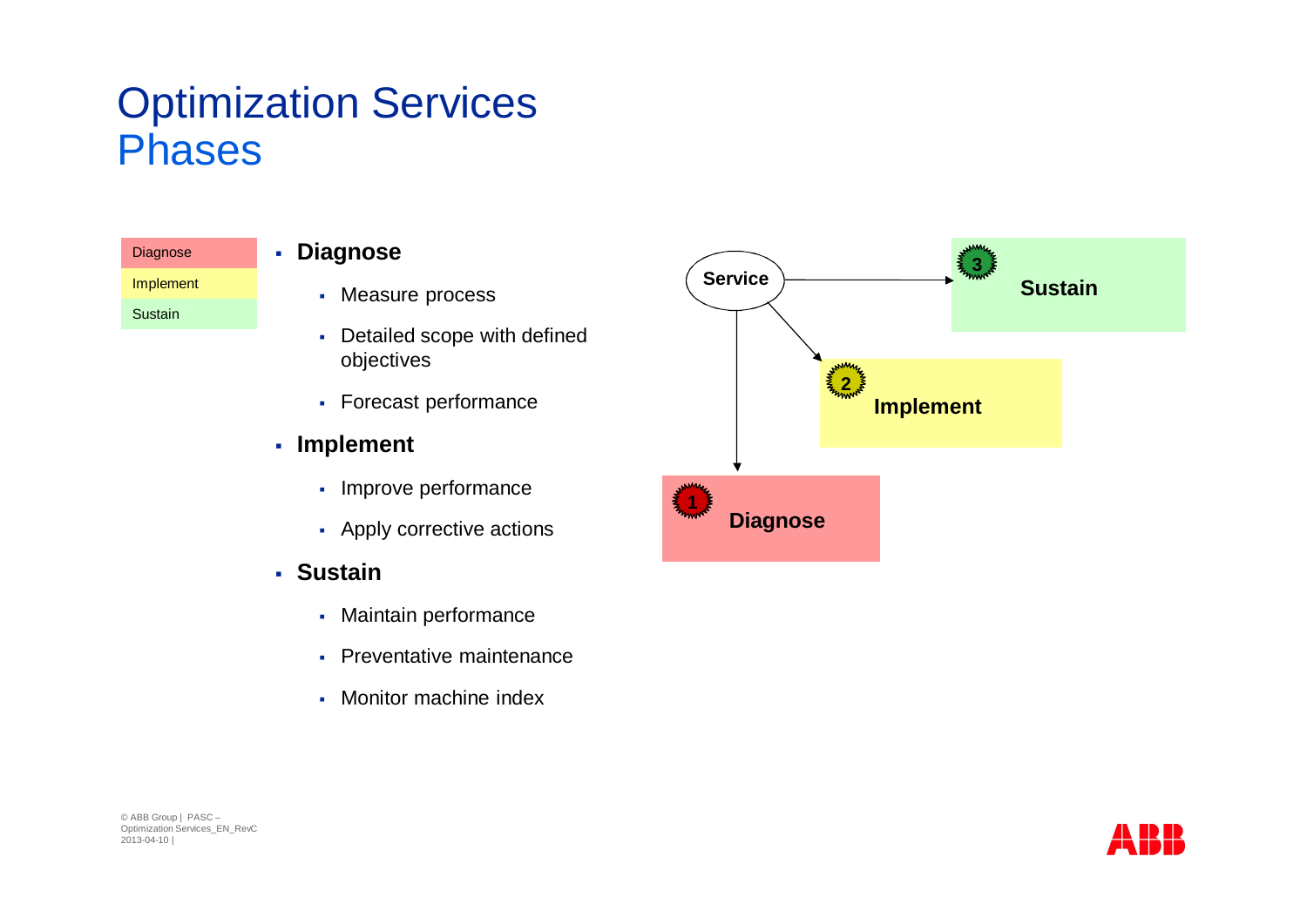### Optimization Services Phases

| Diagnose  |  |
|-----------|--|
| Implement |  |
| Sustain   |  |

#### § **Diagnose**

- § Measure process
- Detailed scope with defined objectives
- § Forecast performance

#### § **Implement**

- § Improve performance
- Apply corrective actions
- § **Sustain**
	- § Maintain performance
	- Preventative maintenance
	- Monitor machine index



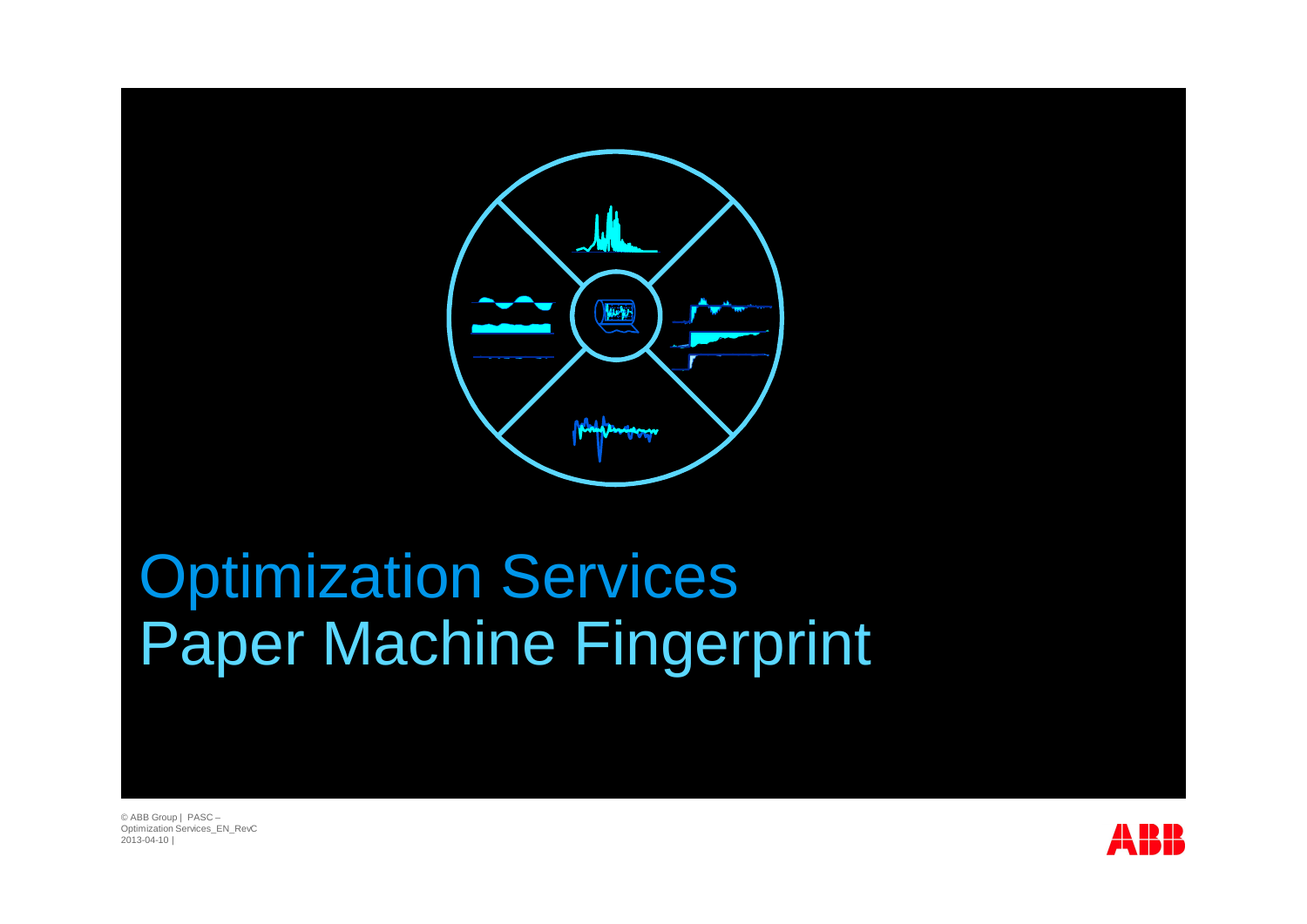

# Optimization Services Paper Machine Fingerprint

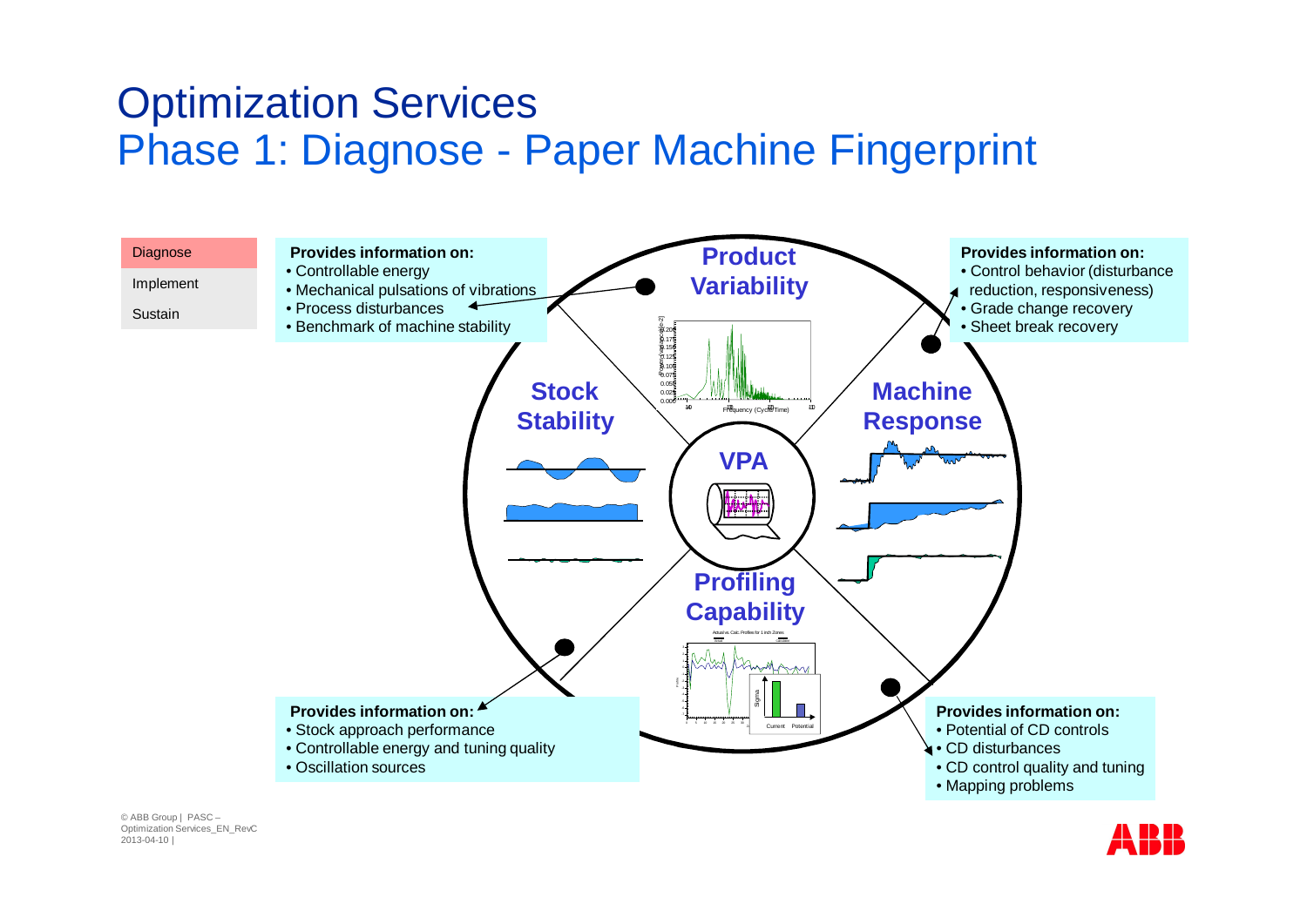#### Optimization Services Phase 1: Diagnose - Paper Machine Fingerprint



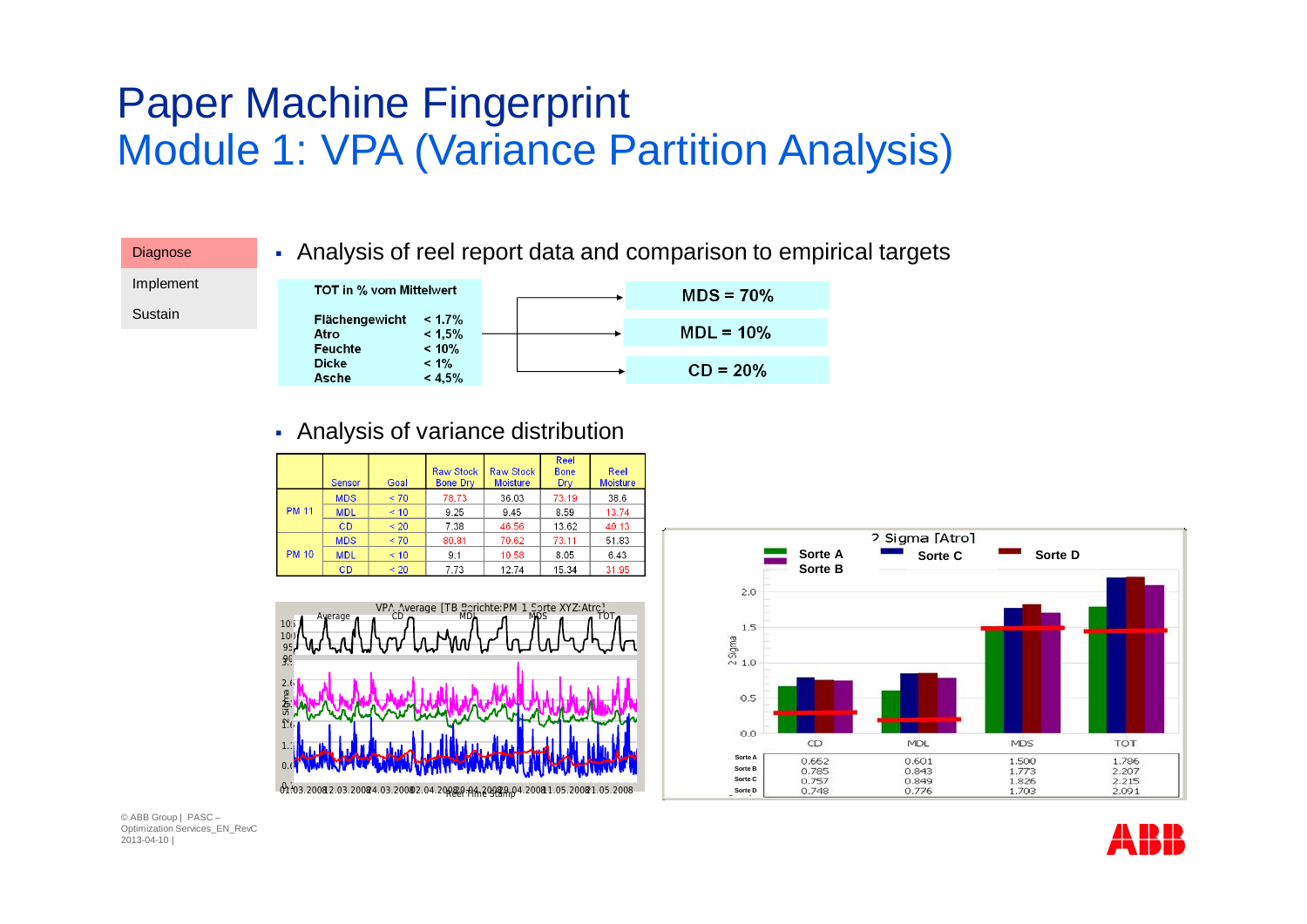### Paper Machine Fingerprint Module 1: VPA (Variance Partition Analysis)



#### § Analysis of variance distribution







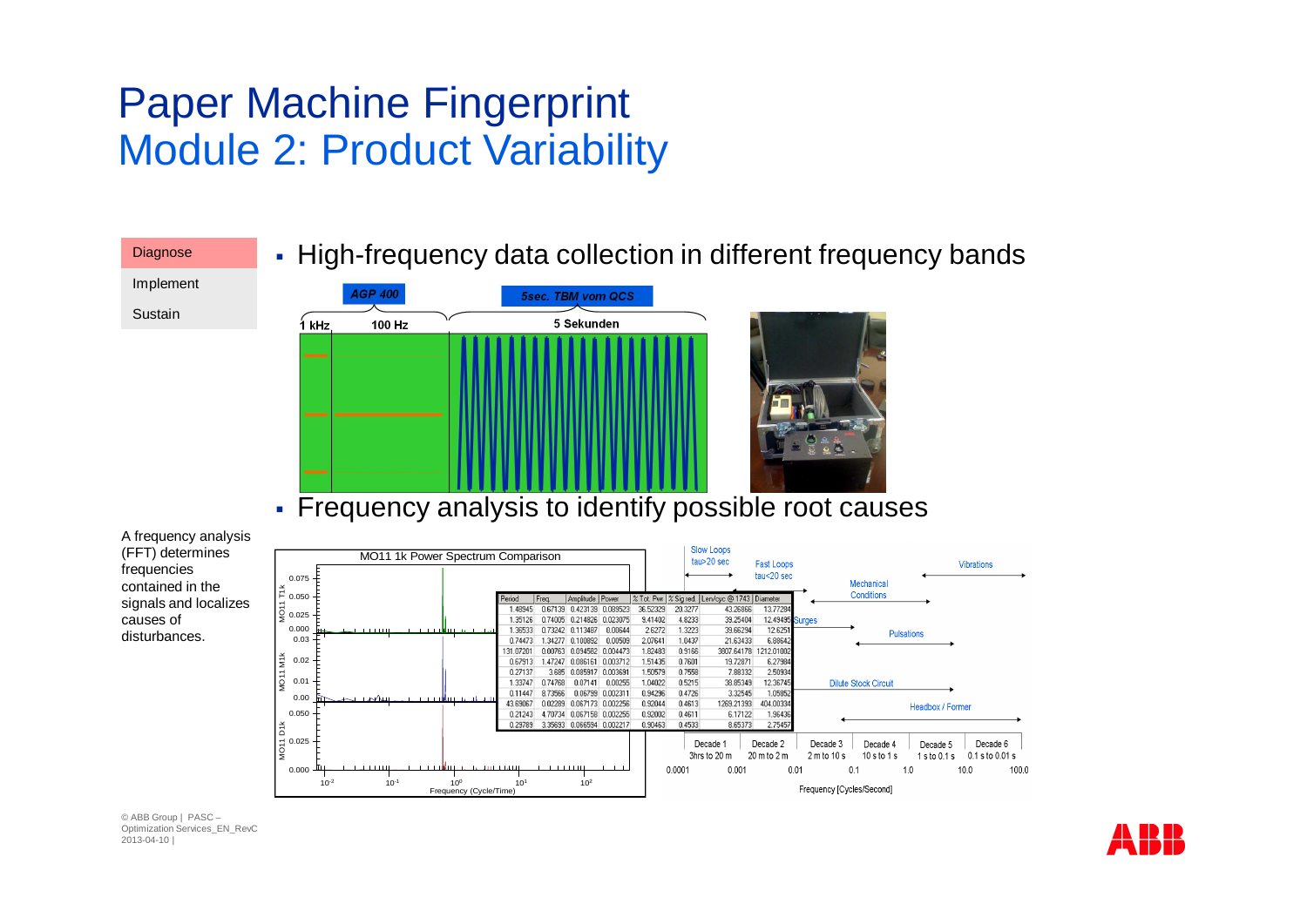### Paper Machine Fingerprint Module 2: Product Variability



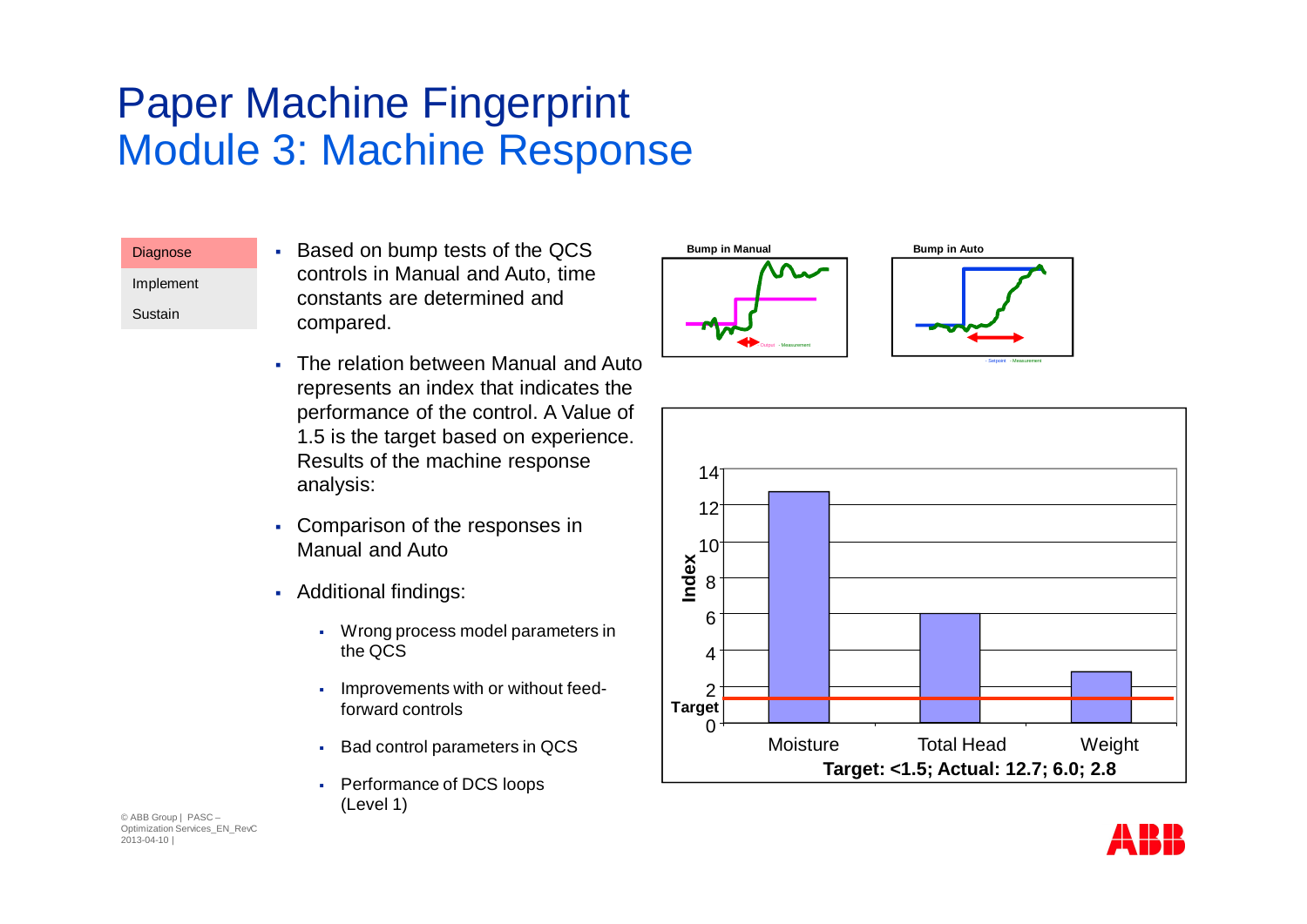### Paper Machine Fingerprint Module 3: Machine Response

| <b>Diagnose</b> |  |
|-----------------|--|
| Implement       |  |
| Sustain         |  |

- § Based on bump tests of the QCS controls in Manual and Auto, time constants are determined and compared.
- The relation between Manual and Auto represents an index that indicates the performance of the control. A Value of 1.5 is the target based on experience. Results of the machine response analysis:
- Comparison of the responses in Manual and Auto
- § Additional findings:
	- § Wrong process model parameters in the QCS
	- Improvements with or without feedforward controls
	- § Bad control parameters in QCS
	- § Performance of DCS loops (Level 1)





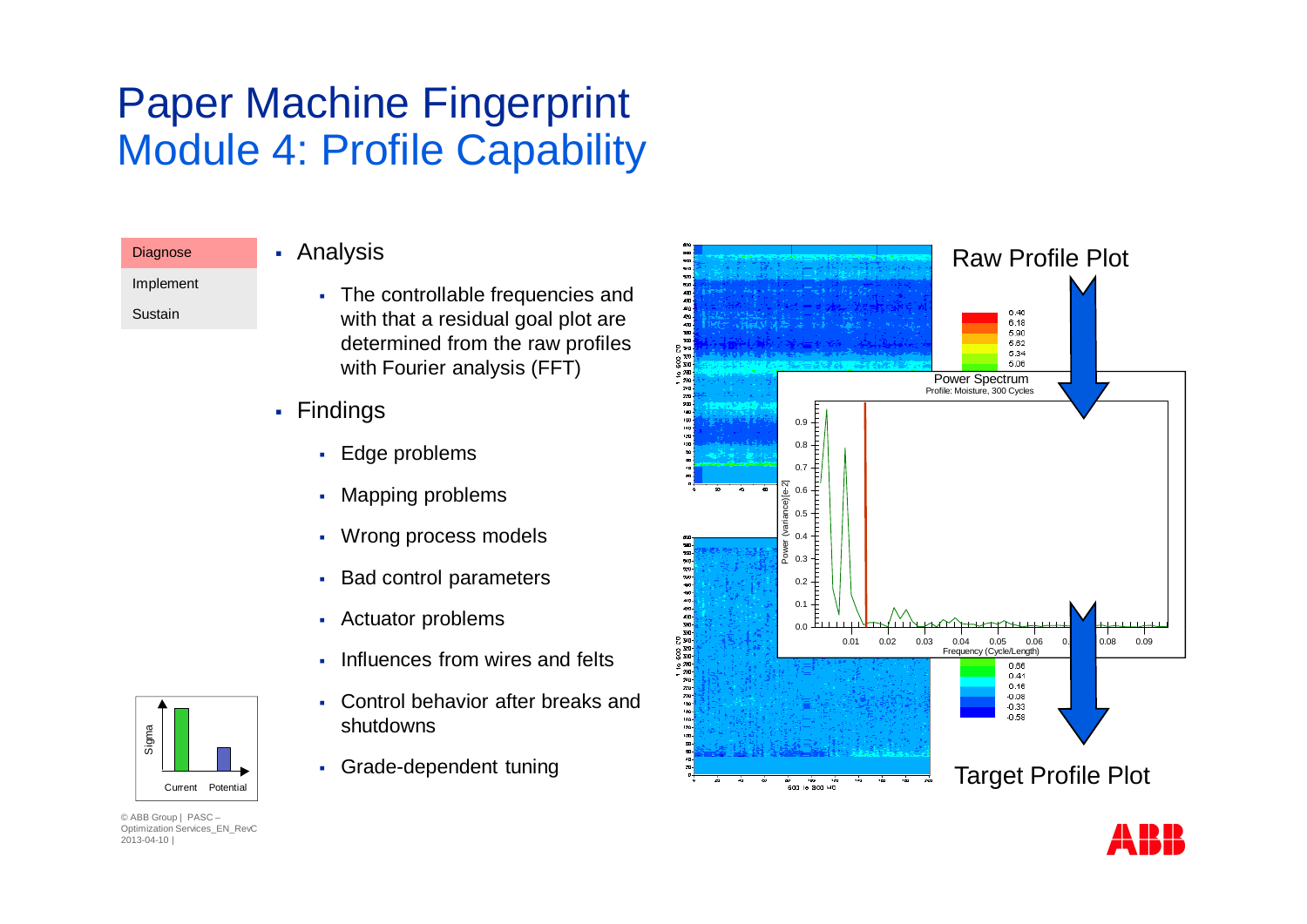### Paper Machine Fingerprint Module 4: Profile Capability

Implement

**Diagnose** 

Sustain

- § Analysis
	- § The controllable frequencies and with that a residual goal plot are determined from the raw profiles with Fourier analysis (FFT)
- § Findings
	- § Edge problems
	- § Mapping problems
	- § Wrong process models
	- § Bad control parameters
	- § Actuator problems
	- Influences from wires and felts
	- Control behavior after breaks and shutdowns
	- § Grade-dependent tuning





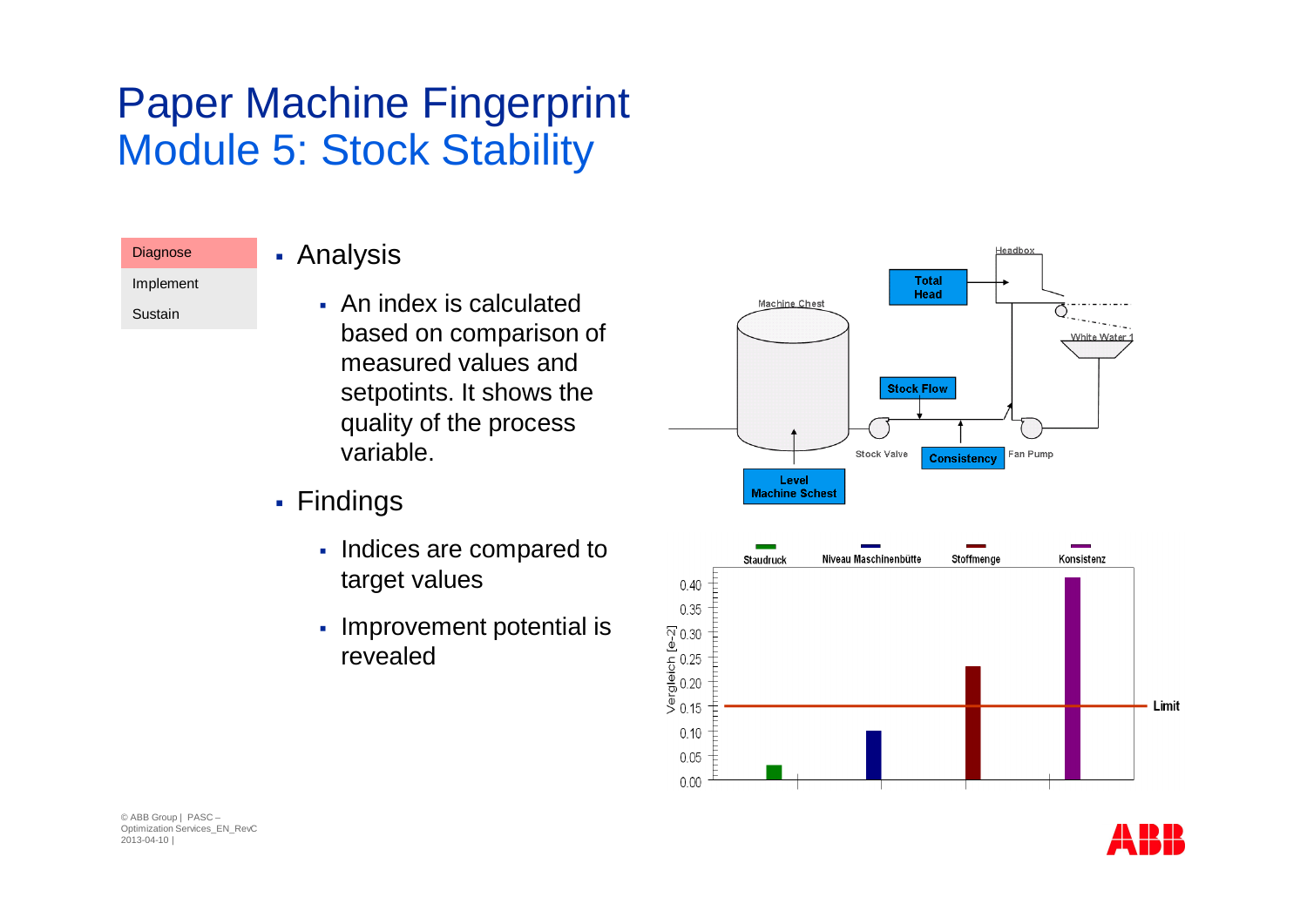### Paper Machine Fingerprint Module 5: Stock Stability

#### **Diagnose**

#### § Analysis

Implement

Sustain

- § An index is calculated based on comparison of measured values and setpotints. It shows the quality of the process variable.
- § Findings
	- Indices are compared to target values
	- § Improvement potential is revealed





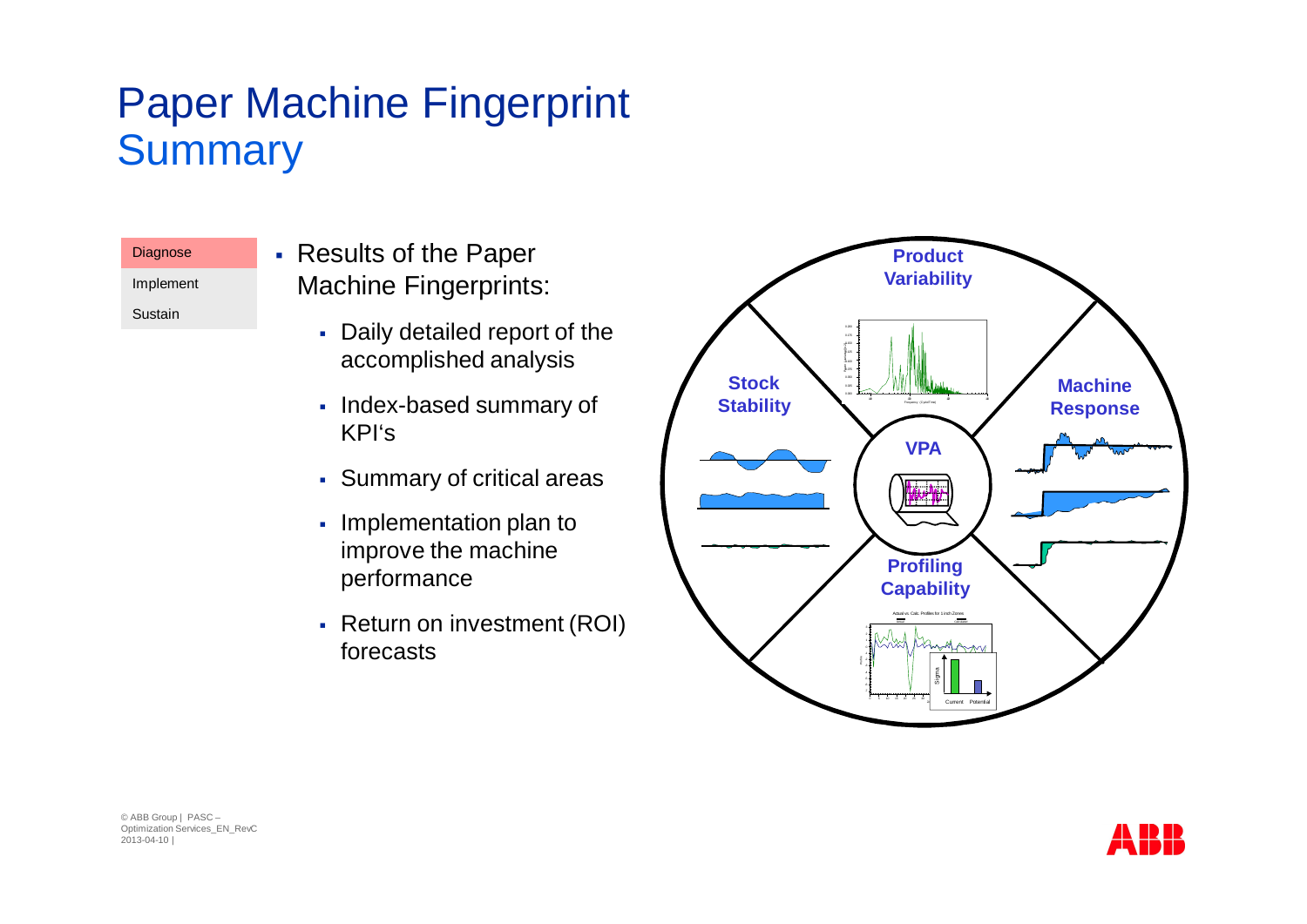### Paper Machine Fingerprint **Summary**

#### **Diagnose** Implement

Sustain

§ Results of the Paper Machine Fingerprints:

- § Daily detailed report of the accomplished analysis
- § Index-based summary of KPI's
- § Summary of critical areas
- Implementation plan to improve the machine performance
- Return on investment (ROI) forecasts



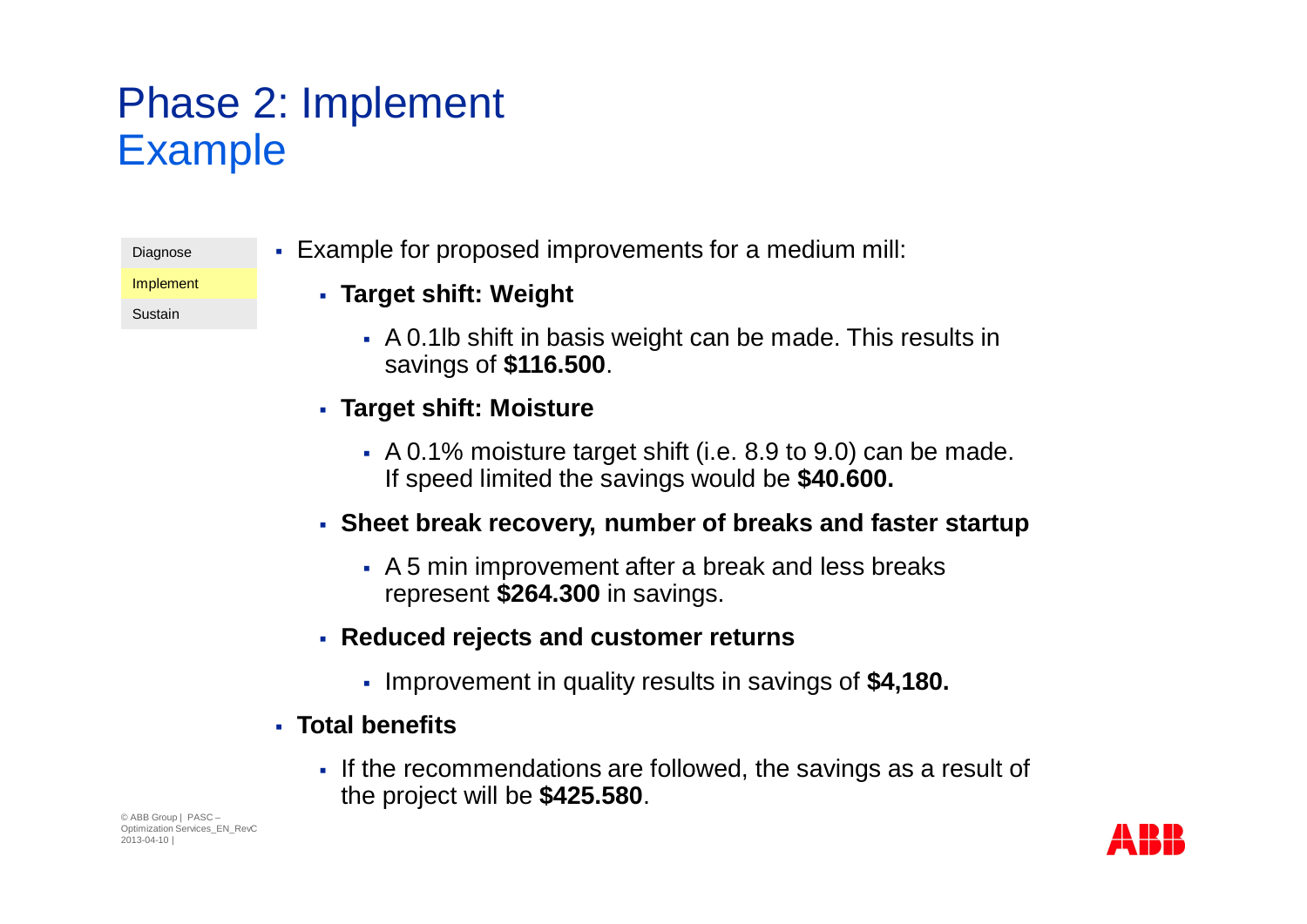## Phase 2: Implement Example

| Diagnose |
|----------|
|----------|

Implement

Sustain

• Example for proposed improvements for a medium mill:

#### § **Target shift: Weight**

- § A 0.1lb shift in basis weight can be made. This results in savings of **\$116.500**.
- § **Target shift: Moisture**
	- § A 0.1% moisture target shift (i.e. 8.9 to 9.0) can be made. If speed limited the savings would be **\$40.600.**
- § **Sheet break recovery, number of breaks and faster startup**
	- § A 5 min improvement after a break and less breaks represent **\$264.300** in savings.
- § **Reduced rejects and customer returns**
	- § Improvement in quality results in savings of **\$4,180.**
- § **Total benefits**
	- § If the recommendations are followed, the savings as a result of the project will be **\$425.580**.

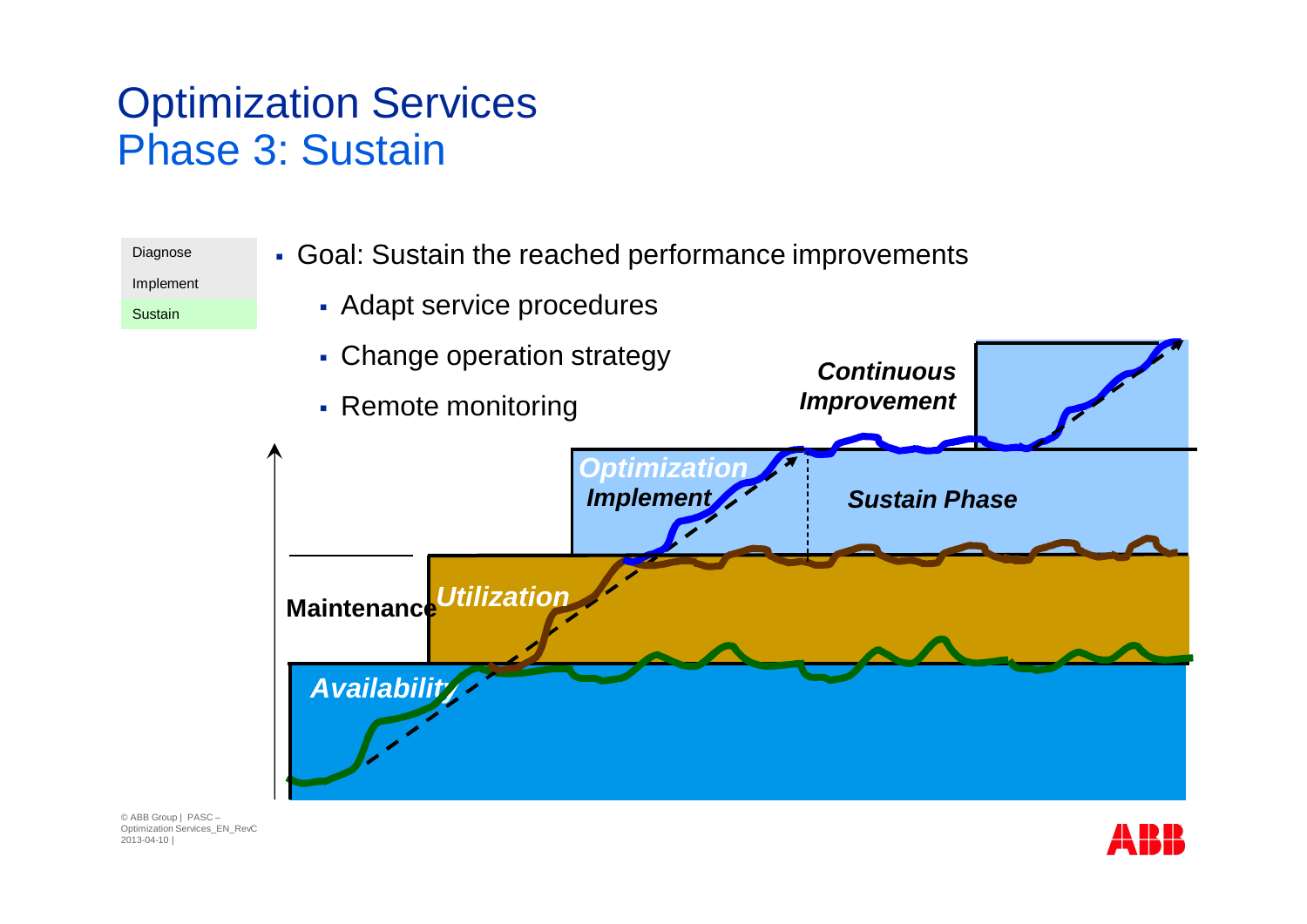### Optimization Services Phase 3: Sustain



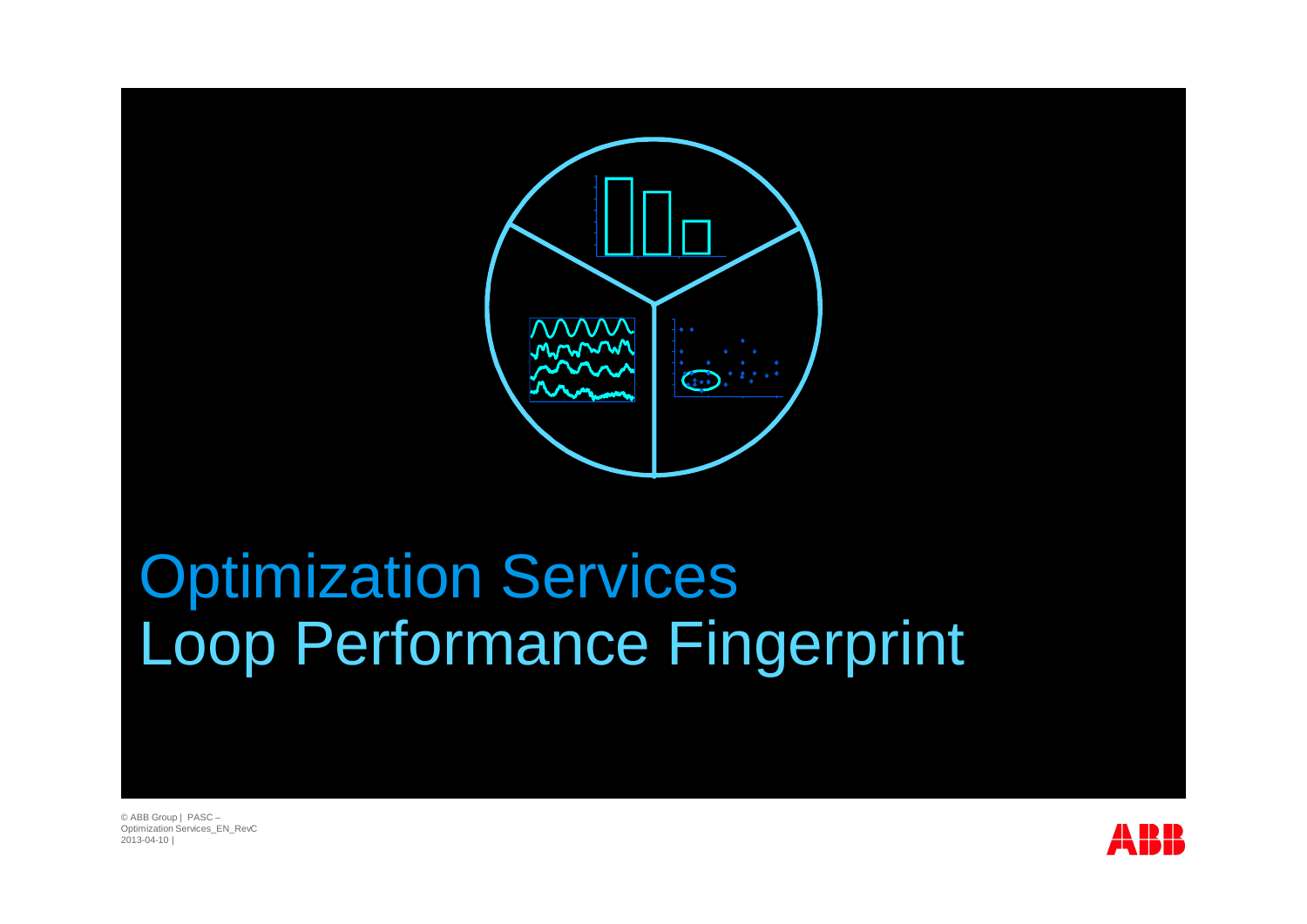

# Optimization Services Loop Performance Fingerprint

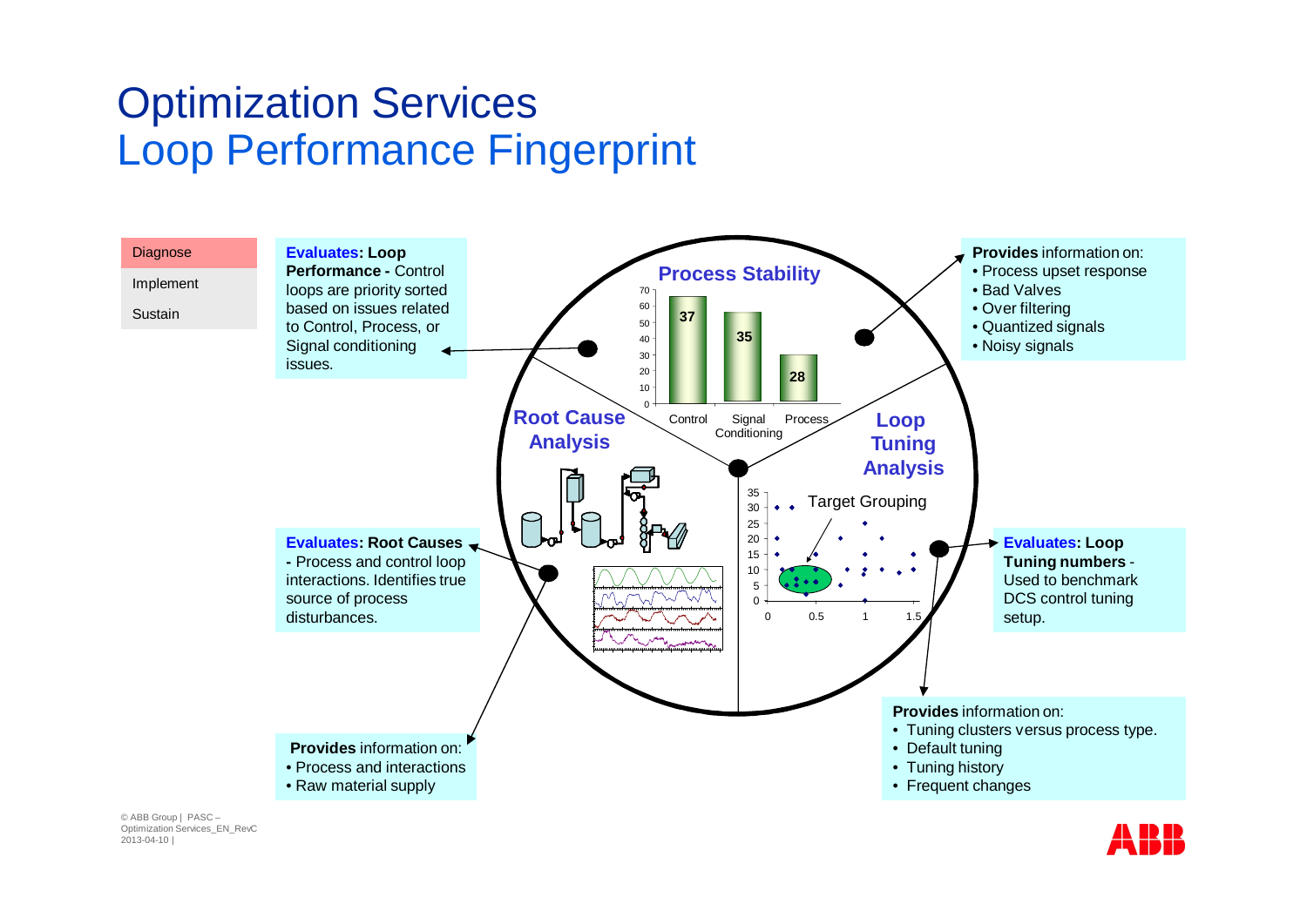### Optimization Services Loop Performance Fingerprint

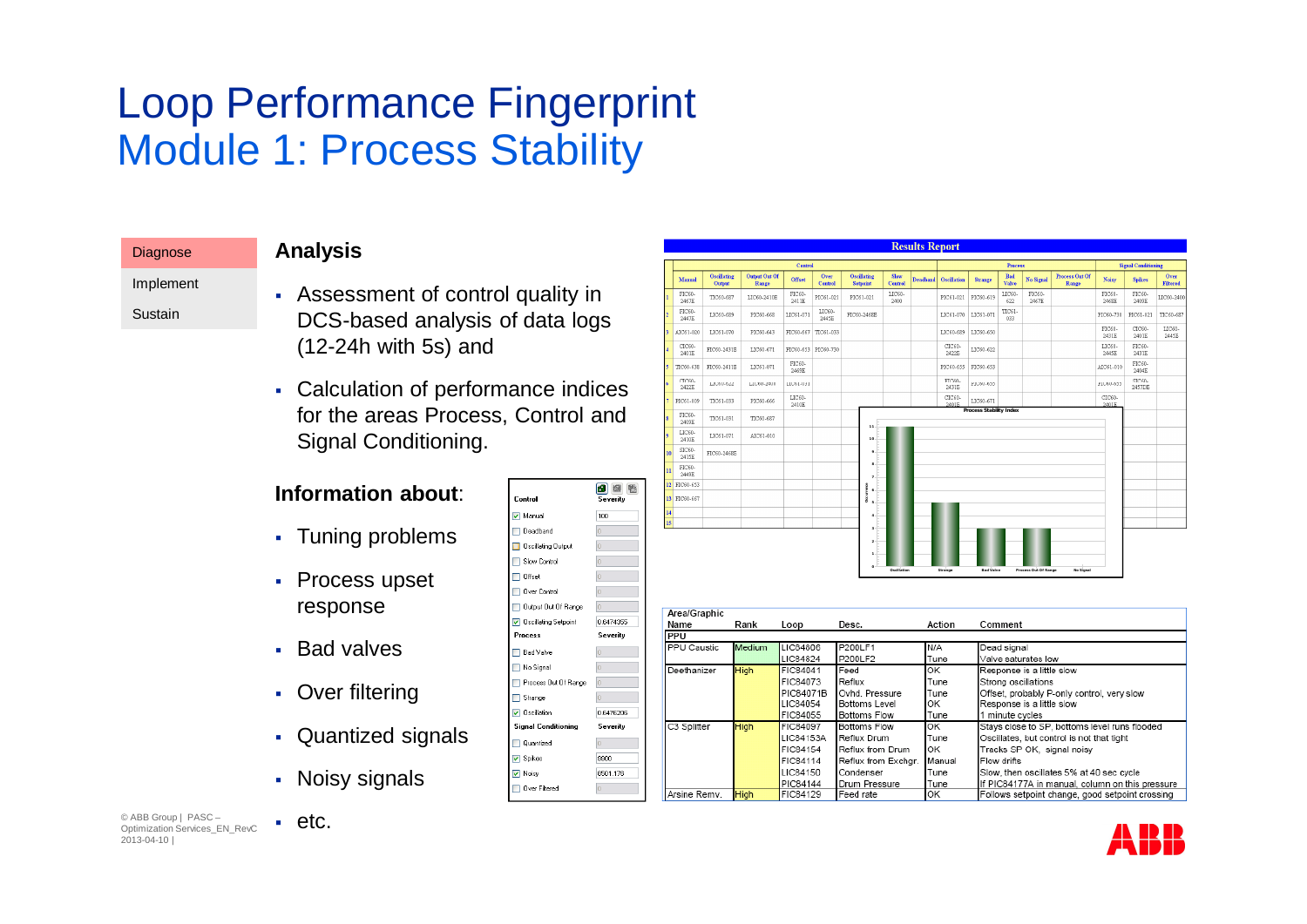## Loop Performance Fingerprint Module 1: Process Stability

| <b>Analysis</b> |
|-----------------|
|-----------------|

Implement Sustain

**Diagnose** 

- § Assessment of control quality in DCS-based analysis of data logs (12-24h with 5s) and
- Calculation of performance indices for the areas Process, Control and Signal Conditioning.

Control

 $\boxed{\triangledown}$  Manual

Process

**□ BadValve** No Signal Process Out Of Range Strange **V** Oscillation

**Signal Conditioning** 

Quantized  $\neg$  Spikes

Over Filtered

■ Noisy

**I** Deadband Oscillating Output Slow Control  $\Box$  Offset Over Control Output Out Of Range Oscillating Setpoint

6 回图

Severity

0.6474355

Severity

0.6476206

Severity

9900

 $\overline{0}$ 

8501.176

Arsine Remy. High

FIC84129

Feed rate

100

#### **Information about**:

- § Tuning problems
- Process upset response
- § Bad valves
- Over filtering
- Quantized signals
- Noisy signals

|          | Control                      |                              |                               |                      |                        |                                       | <b>Process</b>  |          |                    |                                      |                 | <b>Signal Conditioning</b>                       |                                                                                            |                 |                  |                         |
|----------|------------------------------|------------------------------|-------------------------------|----------------------|------------------------|---------------------------------------|-----------------|----------|--------------------|--------------------------------------|-----------------|--------------------------------------------------|--------------------------------------------------------------------------------------------|-----------------|------------------|-------------------------|
|          | Manual                       | <b>Oscillating</b><br>Output | <b>Output Out Of</b><br>Range | Offset               | Over<br><b>Control</b> | <b>Oscillating</b><br><b>Setpoint</b> | Slow<br>Control | Deadband | <b>Oscillation</b> | <b>Strange</b>                       | Bad<br>Valve    | <b>No Signal</b>                                 | <b>Process Out Of</b><br>Range                                                             | Noisy           | <b>Spikes</b>    | Over<br><b>Filtered</b> |
|          | FIC60-<br>2467E              | TIC60-687                    | LIC60-2410E                   | FIC60-<br>2411E      | PIC61-021              | PIC61-021                             | LIC60-<br>2400  |          | PIC61-021          | PIC60-619                            | LIC60<br>622    | FIC60-<br>2467E                                  |                                                                                            | FIC60-<br>2468E | FIC60-<br>2409E  | LIC60-2400              |
|          | FIC60-<br>2447E              | LIC60-689                    | PIC60-668                     | LIC61-071            | LIC60-<br>2445E        | FIC60-2468E                           |                 |          | LIC61-070          | LIC61-071                            | TIC61-<br>033   |                                                  |                                                                                            | PIC60-730       | PIC61-021        | TIC60-687               |
|          | AIC61-020                    | LIC61-070                    | PIC60-643                     | FIC60-667            | TIC61-033              |                                       |                 |          | LIC60-689          | LIC60-650                            |                 |                                                  |                                                                                            | FIC60-<br>2431E | CIC60-<br>2401E  | LIC60-<br>2445E         |
|          | CIC60-<br>2401E              | FIC60-2431E                  | LIC60-671                     |                      | FIC60-653 PIC60-730    |                                       |                 |          | CIC60-<br>2422E    | LIC60-622                            |                 |                                                  |                                                                                            | LIC60-<br>2445E | FIC60-<br>2431E  |                         |
|          | TIC60-638                    | FIC60-2411E                  | LIC61-071                     | FIC60-<br>2469E      |                        |                                       |                 |          | PIC60-655          | FIC60-653                            |                 |                                                  |                                                                                            | AIC61-010       | FIC60-<br>2404E  |                         |
|          | CTC60-<br>2422E              | LIC60-622                    | LIC60-2400                    | TIC61-031            |                        |                                       |                 |          | FIC60-<br>2431E    | PIC60-655                            |                 |                                                  |                                                                                            | PIC60-655       | STC60-<br>2457DE |                         |
|          | PIC61-009                    | TIC61-033                    | PIC60-666                     | LIC60-<br>2410E      |                        |                                       |                 |          | CIC60-<br>2401F    | LIC60-671<br>Process Stability Index |                 |                                                  |                                                                                            | CIC60-<br>2401E |                  |                         |
|          | FIC60-<br>2409E              | TIC61-031                    | TIC60-687                     |                      |                        | $\mathbf{1}$                          |                 |          |                    |                                      |                 |                                                  |                                                                                            |                 |                  |                         |
|          | LIC60-<br>2410E              | LIC61-071                    | AIC61-010                     |                      |                        | 10                                    |                 |          |                    |                                      |                 |                                                  |                                                                                            |                 |                  |                         |
| 10       | SIC60-<br>2415E              | FIC60-2468E                  |                               |                      |                        |                                       |                 |          |                    |                                      |                 |                                                  |                                                                                            |                 |                  |                         |
| n        | FIC60-<br>2449E              |                              |                               |                      |                        |                                       |                 |          |                    |                                      |                 |                                                  |                                                                                            |                 |                  |                         |
|          | 12 FIC60-653<br>13 FIC60-667 |                              |                               |                      |                        | ğ<br>$\Delta$<br>ă                    |                 |          |                    |                                      |                 |                                                  |                                                                                            |                 |                  |                         |
|          |                              |                              |                               |                      |                        | $\kappa$                              |                 |          |                    |                                      |                 |                                                  |                                                                                            |                 |                  |                         |
| 14<br>15 |                              |                              |                               |                      |                        |                                       |                 |          |                    |                                      |                 |                                                  |                                                                                            |                 |                  |                         |
|          |                              |                              |                               |                      |                        |                                       |                 |          |                    |                                      |                 |                                                  |                                                                                            |                 |                  |                         |
|          |                              |                              |                               |                      |                        |                                       | Oscillation     |          | Strange            | Bad Valve                            |                 | Process Out Of Range                             | No Signal                                                                                  |                 |                  |                         |
|          | Area/Graphic                 |                              |                               |                      |                        |                                       |                 |          |                    |                                      |                 |                                                  |                                                                                            |                 |                  |                         |
|          | Name                         |                              | Rank                          | Loop                 |                        | Desc.                                 |                 |          | Action             |                                      | Comment         |                                                  |                                                                                            |                 |                  |                         |
|          | PPU<br>PPU Caustic           |                              | Medium                        | LIC84806             |                        | P200LF1                               |                 | N/A      |                    |                                      | Dead signal     |                                                  |                                                                                            |                 |                  |                         |
|          |                              |                              |                               | LIC84824             |                        | P200LF2                               |                 |          | Tune               |                                      |                 |                                                  |                                                                                            |                 |                  |                         |
|          | Deethanizer                  |                              | High                          | FIC84041             |                        | Feed                                  |                 | ОK       |                    |                                      |                 | Valve saturates low<br>Response is a little slow |                                                                                            |                 |                  |                         |
|          |                              |                              |                               | FIC84073             |                        | Reflux                                |                 |          | Tune               |                                      |                 |                                                  |                                                                                            |                 |                  |                         |
|          |                              |                              |                               |                      |                        |                                       |                 |          |                    |                                      |                 | Strong oscillations                              |                                                                                            |                 |                  |                         |
|          |                              |                              |                               | PIC84071B            |                        | Ovhd, Pressure                        |                 |          | Tune               |                                      |                 |                                                  | Offset, probably P-only control, very slow                                                 |                 |                  |                         |
|          |                              |                              |                               | LIC84054             |                        | Bottoms Level                         |                 | ОК       |                    |                                      |                 | Response is a little slow                        |                                                                                            |                 |                  |                         |
|          |                              |                              |                               | FIC84055             |                        | Bottoms Flow                          |                 |          | Tune               |                                      | 1 minute cycles |                                                  |                                                                                            |                 |                  |                         |
|          | C3 Splitter                  |                              | High                          | FIC84097             |                        | <b>Bottoms Flow</b>                   |                 | ОΚ       |                    |                                      |                 |                                                  | Stavs close to SP, bottoms level runs flooded                                              |                 |                  |                         |
|          |                              |                              |                               | LIC84153A            |                        | Reflux Drum                           |                 |          | Tune               |                                      |                 |                                                  | Oscillates, but control is not that tight                                                  |                 |                  |                         |
|          |                              |                              |                               | FIC84154             |                        | Reflux from Drum                      |                 | OK       |                    |                                      |                 |                                                  | Tracks SP OK, signal noisy                                                                 |                 |                  |                         |
|          |                              |                              |                               | FIC84114             |                        | Reflux from Exchgr.                   |                 |          | Manual             |                                      | Flow drifts     |                                                  |                                                                                            |                 |                  |                         |
|          |                              |                              |                               | LIC84150<br>PIC84144 |                        | Condenser<br>Drum Pressure            |                 | Tune     | Tune               |                                      |                 |                                                  | Slow, then oscillates 5% at 40 sec cycle<br>If PIC84177A in manual column on this pressure |                 |                  |                         |

OK

**Results Report** 

© ABB Group | PASC – Optimization Services\_EN\_RevC 2013-04-10 |

▪ etc.



Follows setpoint change, good setpoint crossing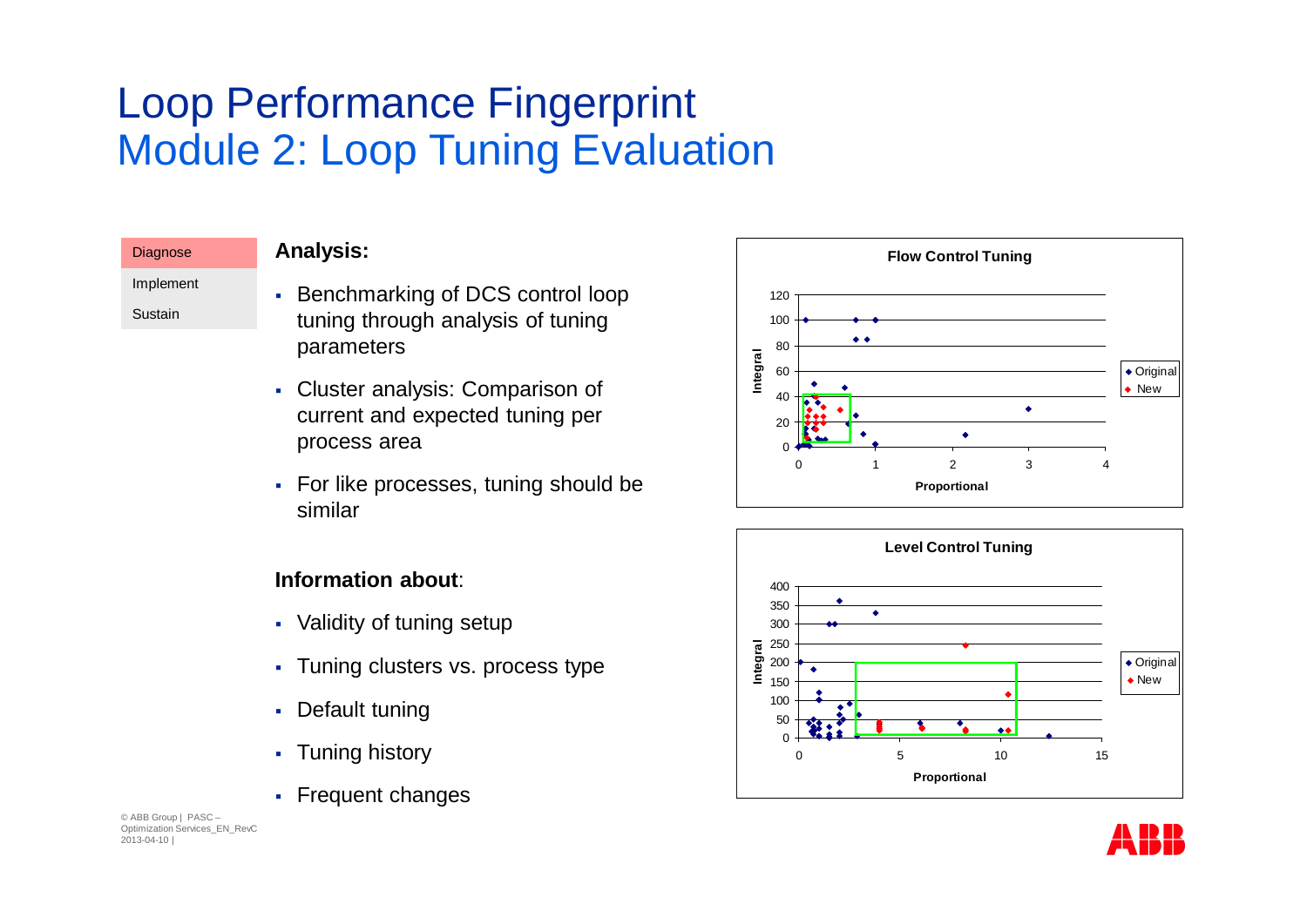## Loop Performance Fingerprint Module 2: Loop Tuning Evaluation

Implement Sustain

**Diagnose** 

- § Benchmarking of DCS control loop tuning through analysis of tuning parameters
- § Cluster analysis: Comparison of current and expected tuning per process area
- For like processes, tuning should be similar

#### **Information about**:

- Validity of tuning setup
- Tuning clusters vs. process type
- Default tuning
- Tuning history
- § Frequent changes





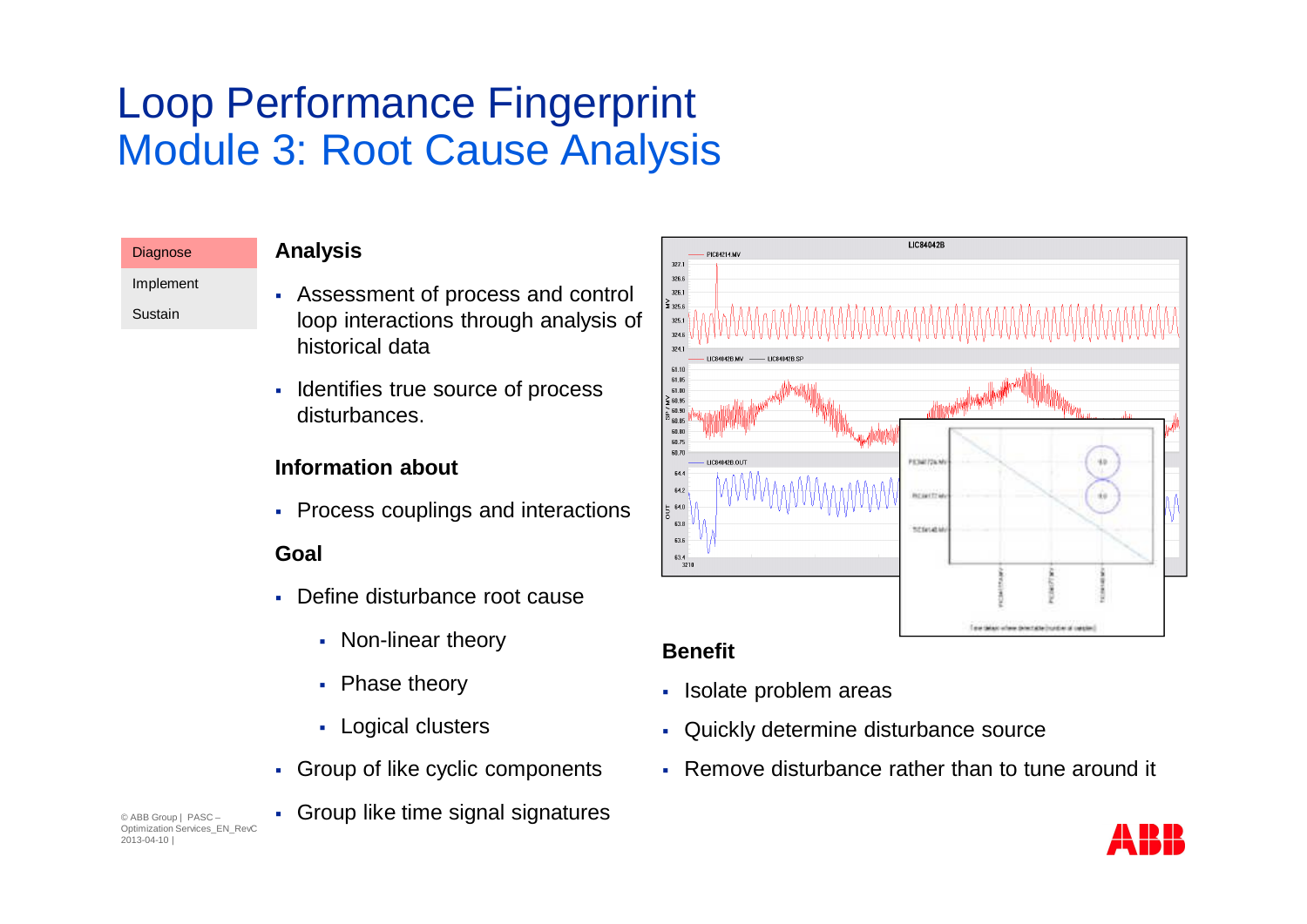## Loop Performance Fingerprint Module 3: Root Cause Analysis

| Diagnose  | <b>Analysis</b>                                          |
|-----------|----------------------------------------------------------|
| Implement | • Assessment of process and control                      |
| Sustain   | loop interactions through analysis of<br>historical data |
|           |                                                          |

§ Identifies true source of process disturbances.

#### **Information about**

• Process couplings and interactions

#### **Goal**

- Define disturbance root cause
	- Non-linear theory
	- Phase theory
	- § Logical clusters
- § Group of like cyclic components

§ Group like time signal signatures

© ABB Group | PASC – Optimization Services\_EN\_RevC 2013-04-10 |

LIC84042B DICR4214 MV  $327.1$  $326.6$  $326.1$  $\leq 325.6$  $325.$ 324.6  $324.1$ 61.10 61.05 61.00  $\frac{2}{5}$  60.95 e na f is na 60.80 60.75 60.70 **PETARTISK**  $644$  $64.2$ **British** sa n  $63.8$ **Riftigan** 63.6  $63.4$  $\frac{3.7}{3211}$ Time things where detectable building of cares

#### **Benefit**

- § Isolate problem areas
- § Quickly determine disturbance source
- Remove disturbance rather than to tune around it

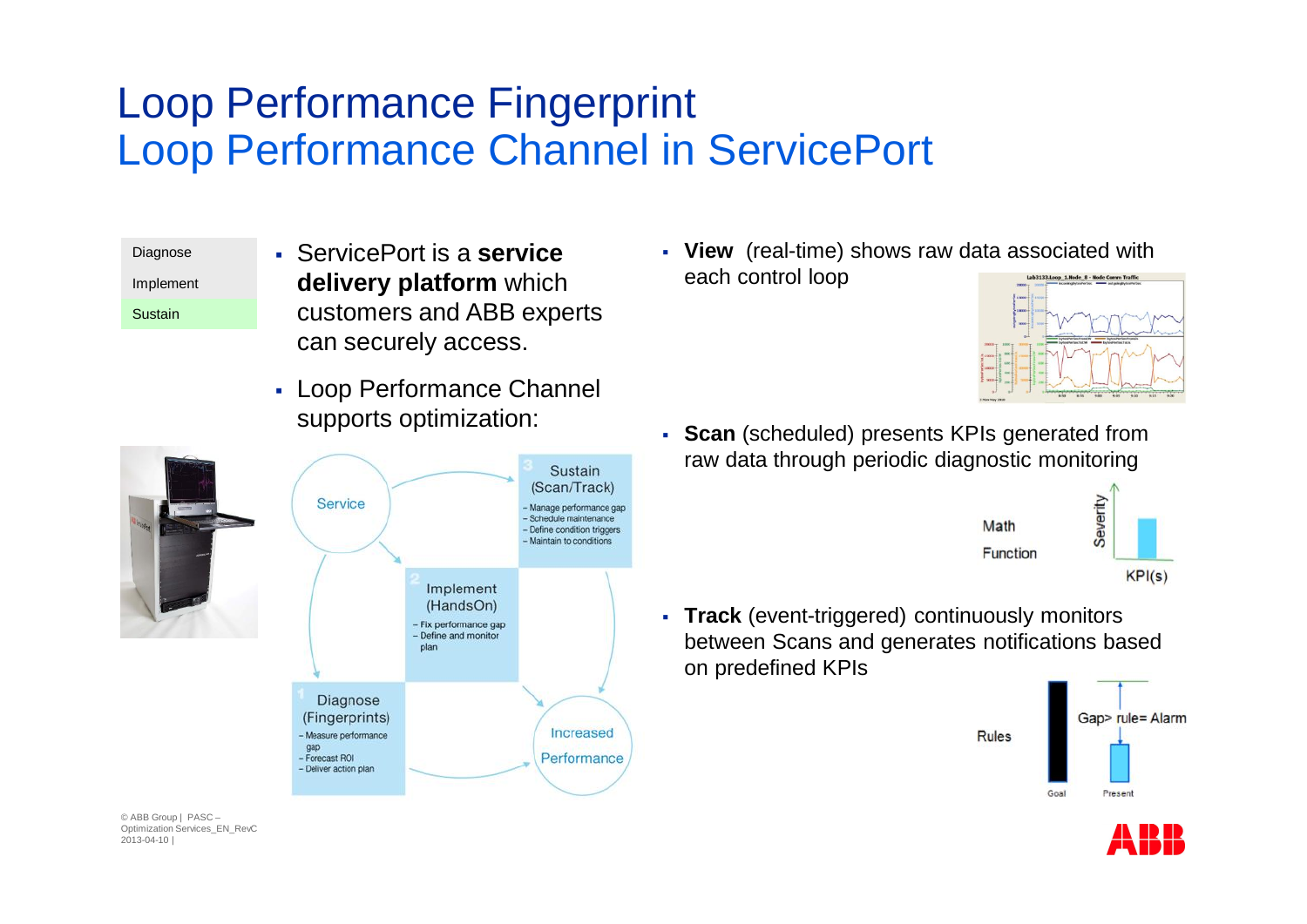### Loop Performance Fingerprint Loop Performance Channel in ServicePort

Diagnose Implement Sustain

- § ServicePort is a **service delivery platform** which customers and ABB experts can securely access.
- § Loop Performance Channel supports optimization:



§ **View** (real-time) shows raw data associated with each control loop



§ **Scan** (scheduled) presents KPIs generated from raw data through periodic diagnostic monitoring



§ **Track** (event-triggered) continuously monitors between Scans and generates notifications based on predefined KPIs

Rules



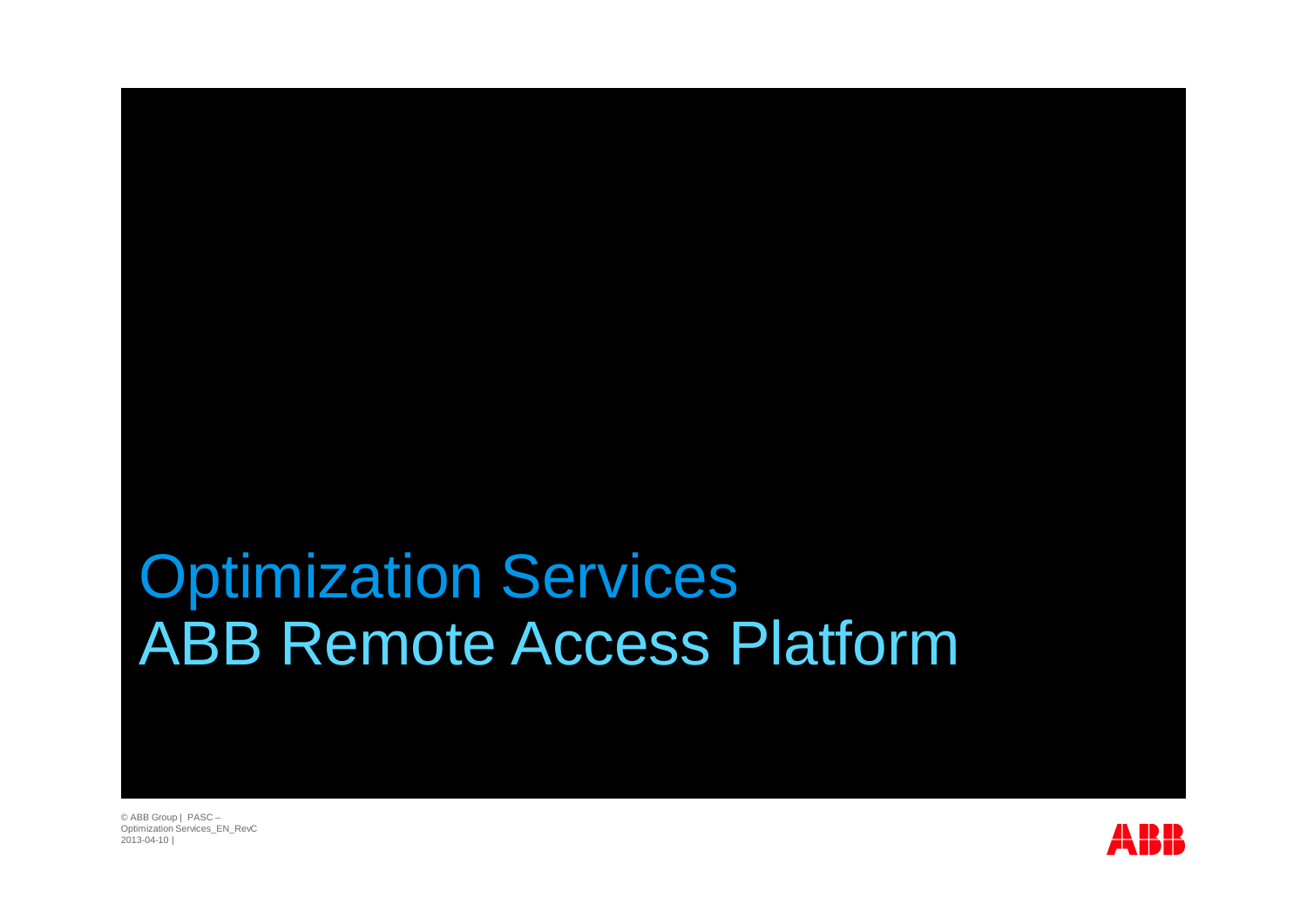# Optimization Services ABB Remote Access Platform

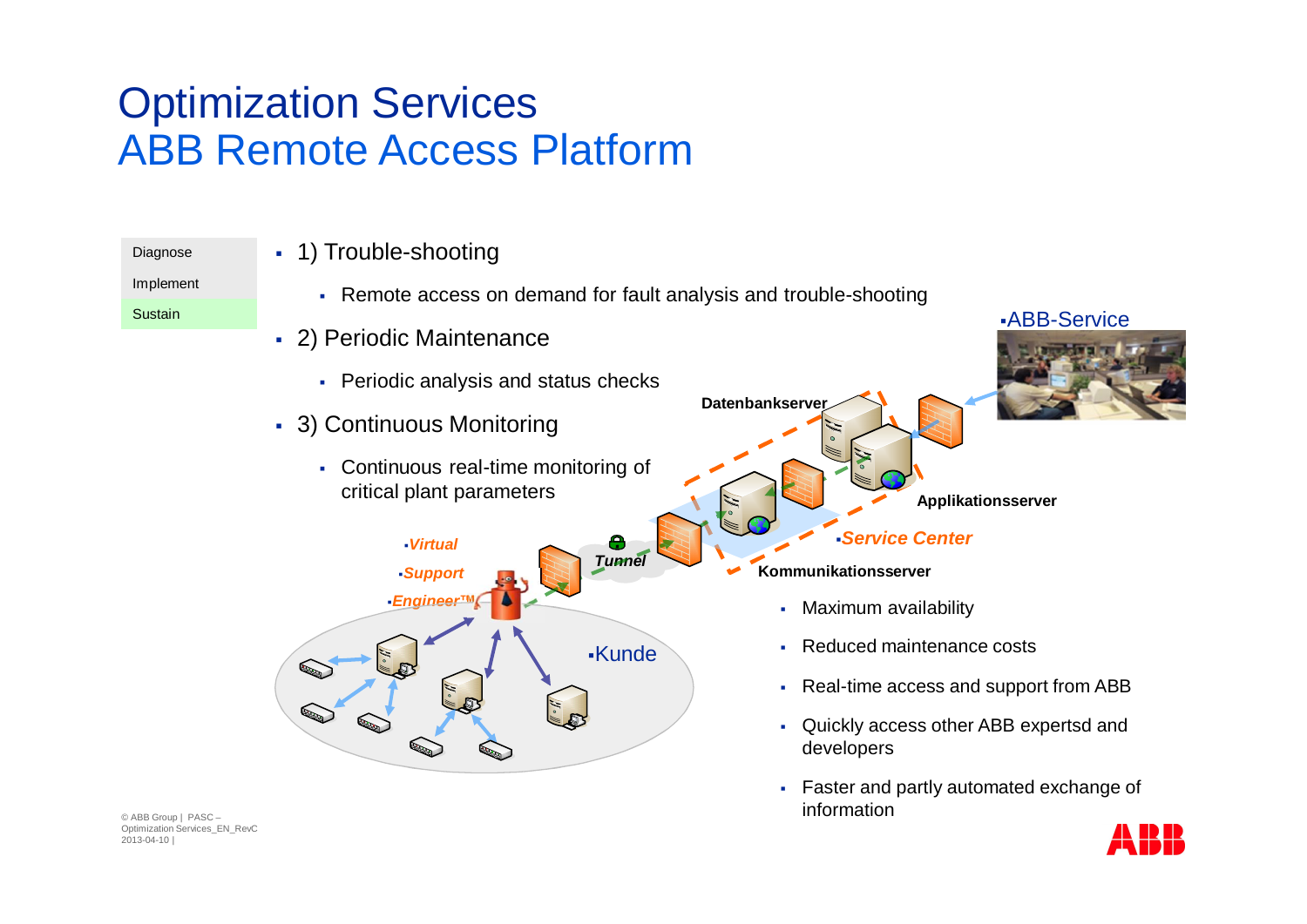### Optimization Services ABB Remote Access Platform